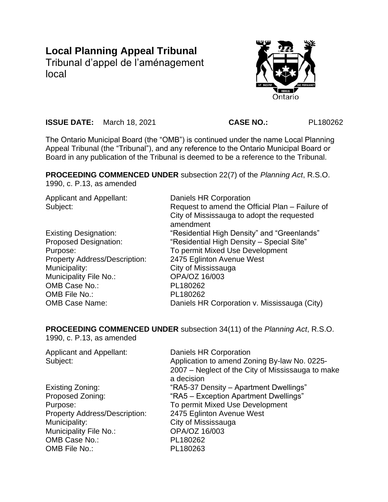# **Local Planning Appeal Tribunal**

Tribunal d'appel de l'aménagement local



**ISSUE DATE:** March 18, 2021 **CASE NO.:** PL180262

The Ontario Municipal Board (the "OMB") is continued under the name Local Planning Appeal Tribunal (the "Tribunal"), and any reference to the Ontario Municipal Board or Board in any publication of the Tribunal is deemed to be a reference to the Tribunal.

**PROCEEDING COMMENCED UNDER** subsection 22(7) of the *Planning Act*, R.S.O.

1990, c. P.13, as amended

Applicant and Appellant: Daniels HR Corporation Subject: Subject: Request to amend the Official Plan – Failure of City of Mississauga to adopt the requested amendment Existing Designation: "Residential High Density" and "Greenlands" Proposed Designation: "Residential High Density – Special Site" Purpose: To permit Mixed Use Development Property Address/Description: 2475 Eglinton Avenue West Municipality: City of Mississauga Municipality File No.: **OPA/OZ 16/003** OMB Case No.: PL180262 OMB File No.: PL180262 OMB Case Name: Daniels HR Corporation v. Mississauga (City)

**PROCEEDING COMMENCED UNDER** subsection 34(11) of the *Planning Act*, R.S.O. 1990, c. P.13, as amended

| <b>Applicant and Appellant:</b><br>Subject: | Daniels HR Corporation<br>Application to amend Zoning By-law No. 0225-<br>2007 – Neglect of the City of Mississauga to make<br>a decision |  |
|---------------------------------------------|-------------------------------------------------------------------------------------------------------------------------------------------|--|
| Existing Zoning:                            | "RA5-37 Density – Apartment Dwellings"                                                                                                    |  |
| Proposed Zoning:                            | "RA5 - Exception Apartment Dwellings"                                                                                                     |  |
| Purpose:                                    | To permit Mixed Use Development                                                                                                           |  |
| <b>Property Address/Description:</b>        | 2475 Eglinton Avenue West                                                                                                                 |  |
| Municipality:                               | City of Mississauga                                                                                                                       |  |
| Municipality File No.:                      | OPA/OZ 16/003                                                                                                                             |  |
| OMB Case No.:                               | PL180262                                                                                                                                  |  |
| OMB File No.:                               | PL180263                                                                                                                                  |  |
|                                             |                                                                                                                                           |  |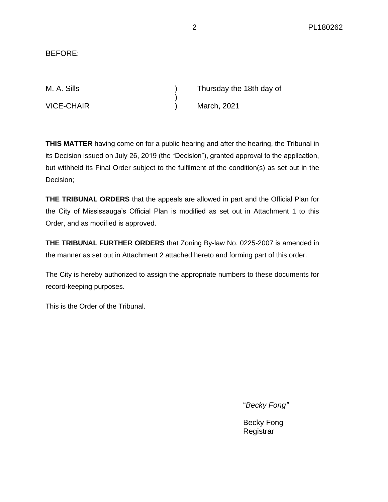### BEFORE:

| M. A. Sills       | Thursday the 18th day of |             |
|-------------------|--------------------------|-------------|
|                   |                          |             |
| <b>VICE-CHAIR</b> |                          | March, 2021 |

**THIS MATTER** having come on for a public hearing and after the hearing, the Tribunal in its Decision issued on July 26, 2019 (the "Decision"), granted approval to the application, but withheld its Final Order subject to the fulfilment of the condition(s) as set out in the Decision;

**THE TRIBUNAL ORDERS** that the appeals are allowed in part and the Official Plan for the City of Mississauga's Official Plan is modified as set out in Attachment 1 to this Order, and as modified is approved.

**THE TRIBUNAL FURTHER ORDERS** that Zoning By-law No. 0225-2007 is amended in the manner as set out in Attachment 2 attached hereto and forming part of this order.

The City is hereby authorized to assign the appropriate numbers to these documents for record-keeping purposes.

This is the Order of the Tribunal.

"*Becky Fong"*

Becky Fong **Registrar**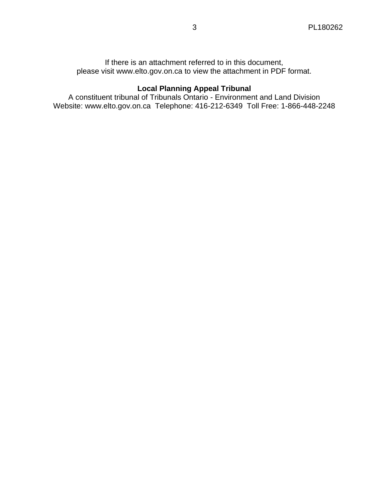If there is an attachment referred to in this document, please visit www.elto.gov.on.ca to view the attachment in PDF format.

# **Local Planning Appeal Tribunal**

A constituent tribunal of Tribunals Ontario - Environment and Land Division Website: www.elto.gov.on.ca Telephone: 416-212-6349 Toll Free: 1-866-448-2248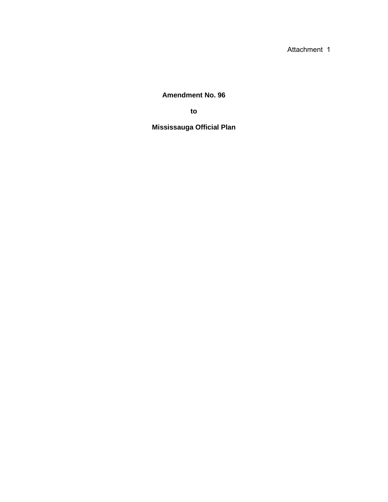Attachment 1

**Amendment No. 96**

**to**

**Mississauga Official Plan**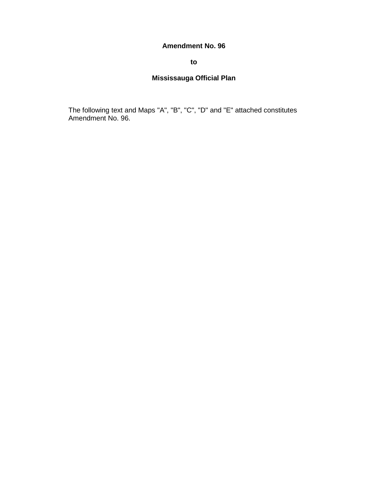#### **Amendment No. 96**

#### **to**

## **Mississauga Official Plan**

The following text and Maps "A", "B", "C", "D" and "E" attached constitutes Amendment No. 96.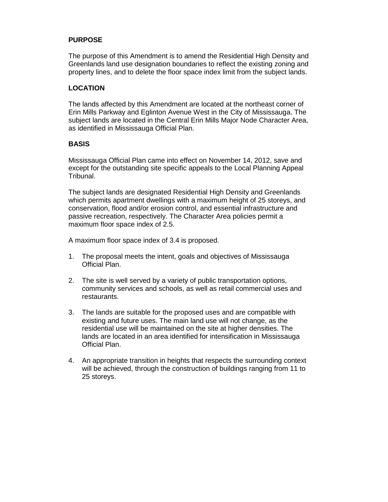#### **PURPOSE**

The purpose of this Amendment is to amend the Residential High Density and Greenlands land use designation boundaries to reflect the existing zoning and property lines, and to delete the floor space index limit from the subject lands.

#### **LOCATION**

The lands affected by this Amendment are located at the northeast corner of Erin Mills Parkway and Eglinton Avenue West in the City of Mississauga. The subject lands are located in the Central Erin Mills Major Node Character Area, as identified in Mississauga Official Plan.

#### **BASIS**

Mississauga Official Plan came into effect on November 14, 2012, save and except for the outstanding site specific appeals to the Local Planning Appeal Tribunal.

The subject lands are designated Residential High Density and Greenlands which permits apartment dwellings with a maximum height of 25 storeys, and conservation, flood and/or erosion control, and essential infrastructure and passive recreation, respectively. The Character Area policies permit a maximum floor space index of 2.5.

A maximum floor space index of 3.4 is proposed.

- 1. The proposal meets the intent, goals and objectives of Mississauga Official Plan.
- 2. The site is well served by a variety of public transportation options, community services and schools, as well as retail commercial uses and restaurants.
- 3. The lands are suitable for the proposed uses and are compatible with existing and future uses. The main land use will not change, as the residential use will be maintained on the site at higher densities. The lands are located in an area identified for intensification in Mississauga Official Plan.
- 4. An appropriate transition in heights that respects the surrounding context will be achieved, through the construction of buildings ranging from 11 to 25 storeys.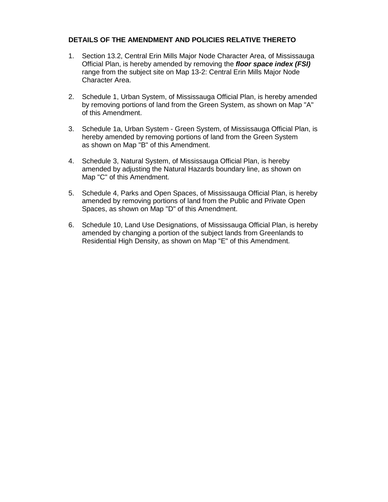#### **DETAILS OF THE AMENDMENT AND POLICIES RELATIVE THERETO**

- 1. Section 13.2, Central Erin Mills Major Node Character Area, of Mississauga Official Plan, is hereby amended by removing the *floor space index (FSI)* range from the subject site on Map 13-2: Central Erin Mills Major Node Character Area.
- 2. Schedule 1, Urban System, of Mississauga Official Plan, is hereby amended by removing portions of land from the Green System, as shown on Map "A" of this Amendment.
- 3. Schedule 1a, Urban System Green System, of Mississauga Official Plan, is hereby amended by removing portions of land from the Green System as shown on Map "B" of this Amendment.
- 4. Schedule 3, Natural System, of Mississauga Official Plan, is hereby amended by adjusting the Natural Hazards boundary line, as shown on Map "C" of this Amendment.
- 5. Schedule 4, Parks and Open Spaces, of Mississauga Official Plan, is hereby amended by removing portions of land from the Public and Private Open Spaces, as shown on Map "D" of this Amendment.
- 6. Schedule 10, Land Use Designations, of Mississauga Official Plan, is hereby amended by changing a portion of the subject lands from Greenlands to Residential High Density, as shown on Map "E" of this Amendment.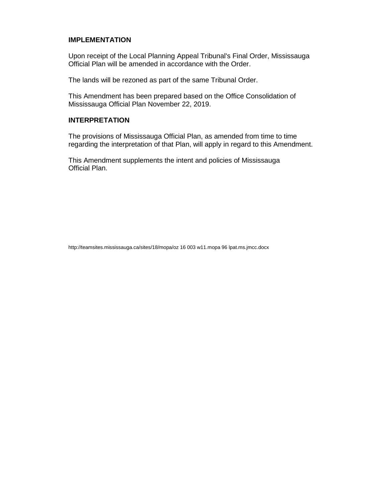#### **IMPLEMENTATION**

Upon receipt of the Local Planning Appeal Tribunal's Final Order, Mississauga Official Plan will be amended in accordance with the Order.

The lands will be rezoned as part of the same Tribunal Order.

This Amendment has been prepared based on the Office Consolidation of Mississauga Official Plan November 22, 2019.

#### **INTERPRETATION**

The provisions of Mississauga Official Plan, as amended from time to time regarding the interpretation of that Plan, will apply in regard to this Amendment.

This Amendment supplements the intent and policies of Mississauga Official Plan.

http://teamsites.mississauga.ca/sites/18/mopa/oz 16 003 w11.mopa 96 lpat.ms.jmcc.docx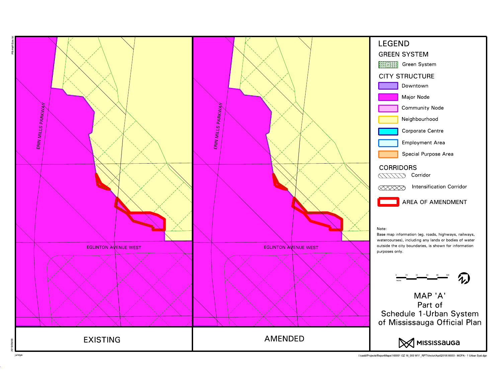

I:\cadd\Projects\ReportMaps\165001 OZ 16\_003 W11\_RPT\Vector\April2019\16003 - MOPA - 1 Urban Syst.dgn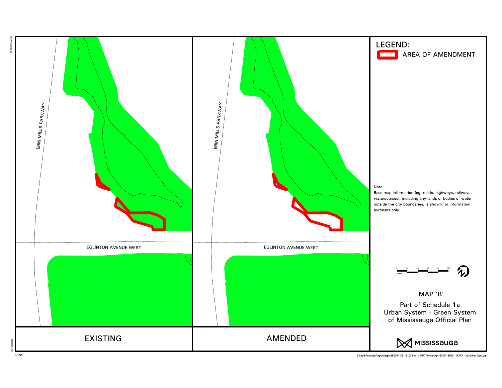

I:\cadd\Projects\ReportMaps\165001 OZ 16\_003 W11\_RPT\Vector\April2019\16003 - MOPA - 1a Green Syst.dgn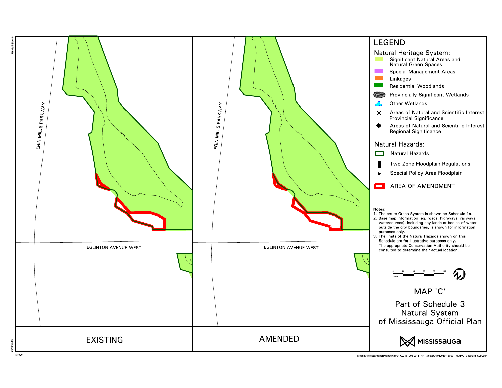

I:\cadd\Projects\ReportMaps\165001 OZ 16\_003 W11\_RPT\Vector\April2019\16003 - MOPA - 3 Natural Syst.dgn

julreye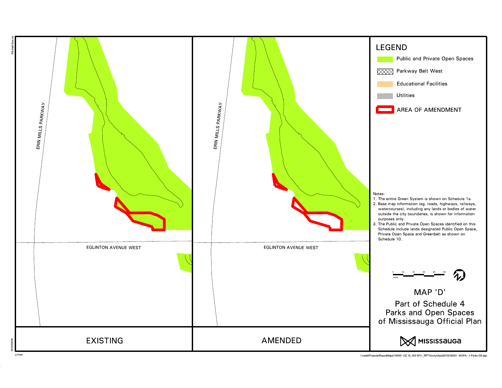

I:\cadd\Projects\ReportMaps\165001 OZ 16\_003 W11\_RPT\Vector\April2019\16003 - MOPA - 4 Parks OS.dgn

julreye